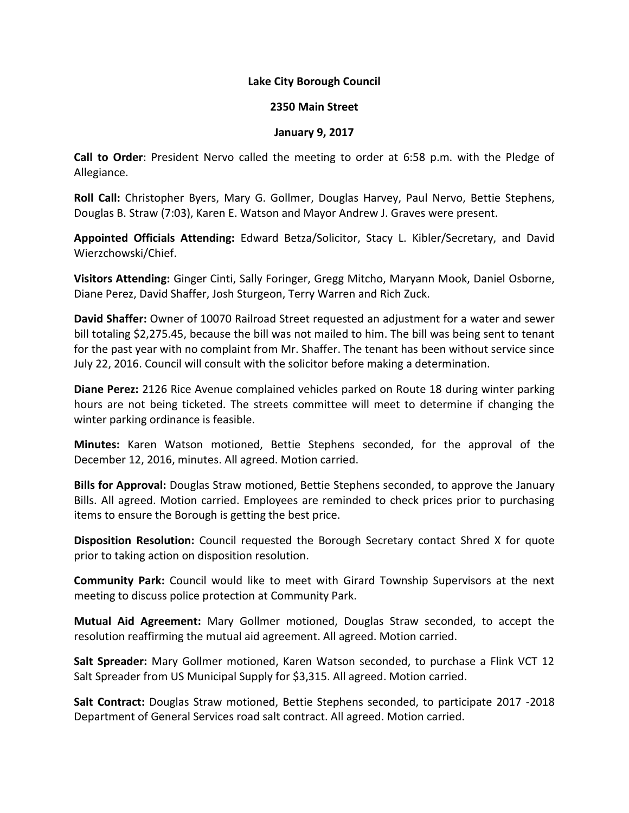## **Lake City Borough Council**

## **2350 Main Street**

## **January 9, 2017**

**Call to Order**: President Nervo called the meeting to order at 6:58 p.m. with the Pledge of Allegiance.

**Roll Call:** Christopher Byers, Mary G. Gollmer, Douglas Harvey, Paul Nervo, Bettie Stephens, Douglas B. Straw (7:03), Karen E. Watson and Mayor Andrew J. Graves were present.

**Appointed Officials Attending:** Edward Betza/Solicitor, Stacy L. Kibler/Secretary, and David Wierzchowski/Chief.

**Visitors Attending:** Ginger Cinti, Sally Foringer, Gregg Mitcho, Maryann Mook, Daniel Osborne, Diane Perez, David Shaffer, Josh Sturgeon, Terry Warren and Rich Zuck.

**David Shaffer:** Owner of 10070 Railroad Street requested an adjustment for a water and sewer bill totaling \$2,275.45, because the bill was not mailed to him. The bill was being sent to tenant for the past year with no complaint from Mr. Shaffer. The tenant has been without service since July 22, 2016. Council will consult with the solicitor before making a determination.

**Diane Perez:** 2126 Rice Avenue complained vehicles parked on Route 18 during winter parking hours are not being ticketed. The streets committee will meet to determine if changing the winter parking ordinance is feasible.

**Minutes:** Karen Watson motioned, Bettie Stephens seconded, for the approval of the December 12, 2016, minutes. All agreed. Motion carried.

**Bills for Approval:** Douglas Straw motioned, Bettie Stephens seconded, to approve the January Bills. All agreed. Motion carried. Employees are reminded to check prices prior to purchasing items to ensure the Borough is getting the best price.

**Disposition Resolution:** Council requested the Borough Secretary contact Shred X for quote prior to taking action on disposition resolution.

**Community Park:** Council would like to meet with Girard Township Supervisors at the next meeting to discuss police protection at Community Park.

**Mutual Aid Agreement:** Mary Gollmer motioned, Douglas Straw seconded, to accept the resolution reaffirming the mutual aid agreement. All agreed. Motion carried.

**Salt Spreader:** Mary Gollmer motioned, Karen Watson seconded, to purchase a Flink VCT 12 Salt Spreader from US Municipal Supply for \$3,315. All agreed. Motion carried.

**Salt Contract:** Douglas Straw motioned, Bettie Stephens seconded, to participate 2017 -2018 Department of General Services road salt contract. All agreed. Motion carried.